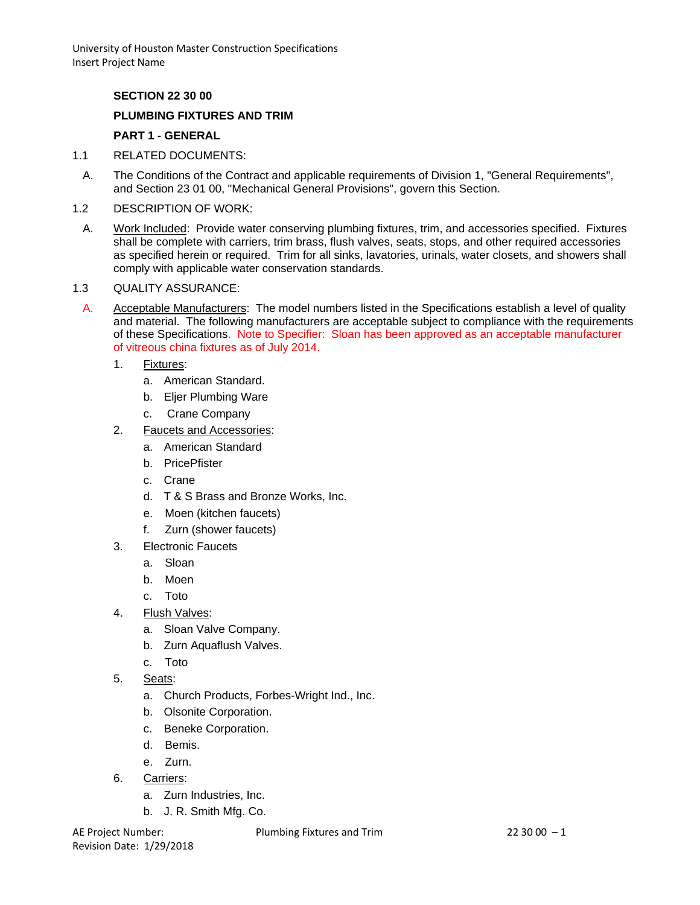## **SECTION 22 30 00**

### **PLUMBING FIXTURES AND TRIM**

## **PART 1 - GENERAL**

- 1.1 RELATED DOCUMENTS:
- A. The Conditions of the Contract and applicable requirements of Division 1, "General Requirements", and Section 23 01 00, "Mechanical General Provisions", govern this Section.
- 1.2 DESCRIPTION OF WORK:
	- A. Work Included: Provide water conserving plumbing fixtures, trim, and accessories specified. Fixtures shall be complete with carriers, trim brass, flush valves, seats, stops, and other required accessories as specified herein or required. Trim for all sinks, lavatories, urinals, water closets, and showers shall comply with applicable water conservation standards.

### 1.3 QUALITY ASSURANCE:

- A. Acceptable Manufacturers: The model numbers listed in the Specifications establish a level of quality and material. The following manufacturers are acceptable subject to compliance with the requirements of these Specifications. Note to Specifier: Sloan has been approved as an acceptable manufacturer of vitreous china fixtures as of July 2014.
	- 1. Fixtures:
		- a. American Standard.
		- b. Eljer Plumbing Ware
		- c. Crane Company
	- 2. Faucets and Accessories:
		- a. American Standard
		- b. PricePfister
		- c. Crane
		- d. T & S Brass and Bronze Works, Inc.
		- e. Moen (kitchen faucets)
		- f. Zurn (shower faucets)
	- 3. Electronic Faucets
		- a. Sloan
		- b. Moen
		- c. Toto
	- 4. Flush Valves:
		- a. Sloan Valve Company.
		- b. Zurn Aquaflush Valves.
		- c. Toto
	- 5. Seats:
		- a. Church Products, Forbes-Wright Ind., Inc.
		- b. Olsonite Corporation.
		- c. Beneke Corporation.
		- d. Bemis.
		- e. Zurn.
	- 6. Carriers:
		- a. Zurn Industries, Inc.
		- b. J. R. Smith Mfg. Co.

Revision Date: 1/29/2018

AE Project Number: Plumbing Fixtures and Trim 22 30 00 - 1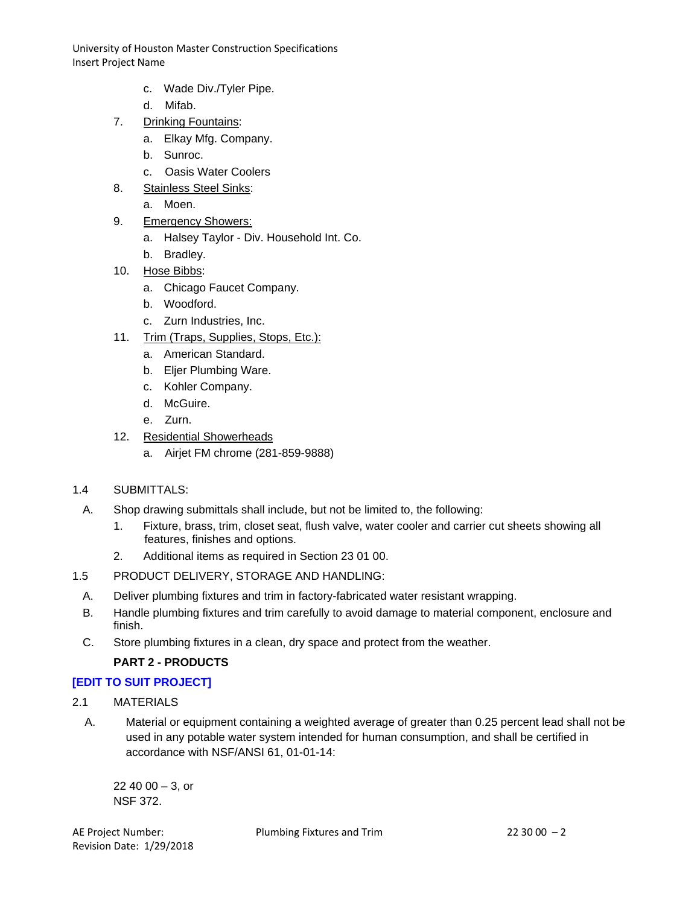- c. Wade Div./Tyler Pipe.
- d. Mifab.
- 7. Drinking Fountains:
	- a. Elkay Mfg. Company.
	- b. Sunroc.
	- c. Oasis Water Coolers
- 8. Stainless Steel Sinks:
	- a. Moen.
- 9. Emergency Showers:
	- a. Halsey Taylor Div. Household Int. Co.
	- b. Bradley.
- 10. Hose Bibbs:
	- a. Chicago Faucet Company.
	- b. Woodford.
	- c. Zurn Industries, Inc.
- 11. Trim (Traps, Supplies, Stops, Etc.):
	- a. American Standard.
	- b. Eljer Plumbing Ware.
	- c. Kohler Company.
	- d. McGuire.
	- e. Zurn.
- 12. Residential Showerheads
	- a. Airjet FM chrome (281-859-9888)
- 1.4 SUBMITTALS:
- A. Shop drawing submittals shall include, but not be limited to, the following:
	- 1. Fixture, brass, trim, closet seat, flush valve, water cooler and carrier cut sheets showing all features, finishes and options.
	- 2. Additional items as required in Section 23 01 00.
- 1.5 PRODUCT DELIVERY, STORAGE AND HANDLING:
- A. Deliver plumbing fixtures and trim in factory-fabricated water resistant wrapping.
- B. Handle plumbing fixtures and trim carefully to avoid damage to material component, enclosure and finish.
- C. Store plumbing fixtures in a clean, dry space and protect from the weather.

### **PART 2 - PRODUCTS**

### **[EDIT TO SUIT PROJECT]**

- 2.1 MATERIALS
	- A. Material or equipment containing a weighted average of greater than 0.25 percent lead shall not be used in any potable water system intended for human consumption, and shall be certified in accordance with NSF/ANSI 61, 01-01-14:

 $22,40,00 - 3,$  or NSF 372.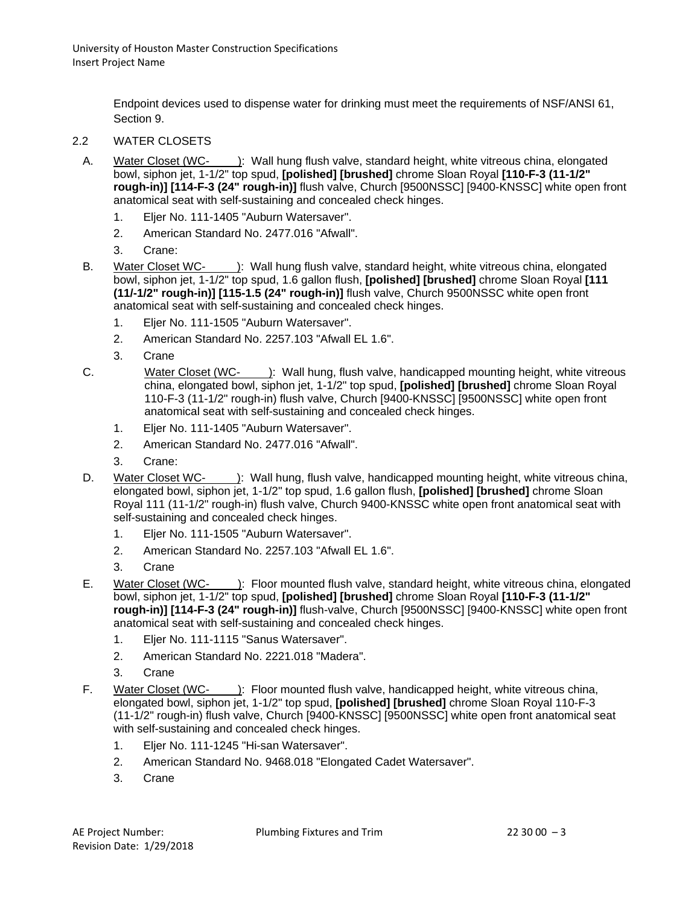Endpoint devices used to dispense water for drinking must meet the requirements of NSF/ANSI 61, Section 9.

- 2.2 WATER CLOSETS
	- A. Water Closet (WC- ): Wall hung flush valve, standard height, white vitreous china, elongated bowl, siphon jet, 1-1/2" top spud, **[polished] [brushed]** chrome Sloan Royal **[110-F-3 (11-1/2" rough-in)] [114-F-3 (24" rough-in)]** flush valve, Church [9500NSSC] [9400-KNSSC] white open front anatomical seat with self-sustaining and concealed check hinges.
		- 1. Eljer No. 111-1405 "Auburn Watersaver".
		- 2. American Standard No. 2477.016 "Afwall".
		- 3. Crane:
	- B. Water Closet WC- ): Wall hung flush valve, standard height, white vitreous china, elongated bowl, siphon jet, 1-1/2" top spud, 1.6 gallon flush, **[polished] [brushed]** chrome Sloan Royal **[111 (11/-1/2" rough-in)] [115-1.5 (24" rough-in)]** flush valve, Church 9500NSSC white open front anatomical seat with self-sustaining and concealed check hinges.
		- 1. Eljer No. 111-1505 "Auburn Watersaver".
		- 2. American Standard No. 2257.103 "Afwall EL 1.6".
		- 3. Crane
	- C. Water Closet (WC- ): Wall hung, flush valve, handicapped mounting height, white vitreous china, elongated bowl, siphon jet, 1-1/2" top spud, **[polished] [brushed]** chrome Sloan Royal 110-F-3 (11-1/2" rough-in) flush valve, Church [9400-KNSSC] [9500NSSC] white open front anatomical seat with self-sustaining and concealed check hinges.
		- 1. Eljer No. 111-1405 "Auburn Watersaver".
		- 2. American Standard No. 2477.016 "Afwall".
		- 3. Crane:
	- D. Water Closet WC- ): Wall hung, flush valve, handicapped mounting height, white vitreous china, elongated bowl, siphon jet, 1-1/2" top spud, 1.6 gallon flush, **[polished] [brushed]** chrome Sloan Royal 111 (11-1/2" rough-in) flush valve, Church 9400-KNSSC white open front anatomical seat with self-sustaining and concealed check hinges.
		- 1. Eljer No. 111-1505 "Auburn Watersaver".
		- 2. American Standard No. 2257.103 "Afwall EL 1.6".
		- 3. Crane
	- E. Water Closet (WC- ): Floor mounted flush valve, standard height, white vitreous china, elongated bowl, siphon jet, 1-1/2" top spud, **[polished] [brushed]** chrome Sloan Royal **[110-F-3 (11-1/2" rough-in)] [114-F-3 (24" rough-in)]** flush-valve, Church [9500NSSC] [9400-KNSSC] white open front anatomical seat with self-sustaining and concealed check hinges.
		- 1. Eljer No. 111-1115 "Sanus Watersaver".
		- 2. American Standard No. 2221.018 "Madera".
		- 3. Crane
	- F. Water Closet (WC- ): Floor mounted flush valve, handicapped height, white vitreous china, elongated bowl, siphon jet, 1-1/2" top spud, **[polished] [brushed]** chrome Sloan Royal 110-F-3 (11-1/2" rough-in) flush valve, Church [9400-KNSSC] [9500NSSC] white open front anatomical seat with self-sustaining and concealed check hinges.
		- 1. Eljer No. 111-1245 "Hi-san Watersaver".
		- 2. American Standard No. 9468.018 "Elongated Cadet Watersaver".
		- 3. Crane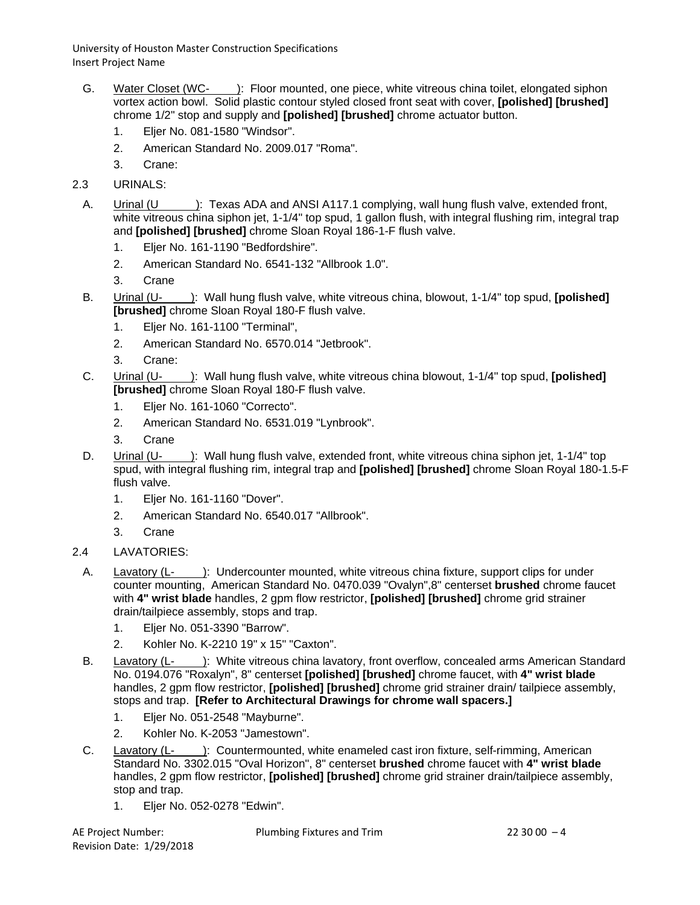- G. Water Closet (WC- ): Floor mounted, one piece, white vitreous china toilet, elongated siphon vortex action bowl. Solid plastic contour styled closed front seat with cover, **[polished] [brushed]** chrome 1/2" stop and supply and **[polished] [brushed]** chrome actuator button.
	- 1. Eljer No. 081-1580 "Windsor".
	- 2. American Standard No. 2009.017 "Roma".
	- 3. Crane:
- 2.3 URINALS:
	- A. Urinal (U ): Texas ADA and ANSI A117.1 complying, wall hung flush valve, extended front, white vitreous china siphon jet, 1-1/4" top spud, 1 gallon flush, with integral flushing rim, integral trap and **[polished] [brushed]** chrome Sloan Royal 186-1-F flush valve.
		- 1. Eljer No. 161-1190 "Bedfordshire".
		- 2. American Standard No. 6541-132 "Allbrook 1.0".
		- 3. Crane
	- B. Urinal (U- ): Wall hung flush valve, white vitreous china, blowout, 1-1/4" top spud, **[polished] [brushed]** chrome Sloan Royal 180-F flush valve.
		- 1. Eljer No. 161-1100 "Terminal",
		- 2. American Standard No. 6570.014 "Jetbrook".
		- 3. Crane:
	- C. Urinal (U- ): Wall hung flush valve, white vitreous china blowout, 1-1/4" top spud, **[polished] [brushed]** chrome Sloan Royal 180-F flush valve.
		- 1. Eljer No. 161-1060 "Correcto".
		- 2. American Standard No. 6531.019 "Lynbrook".
		- 3. Crane
	- D. Urinal (U- ): Wall hung flush valve, extended front, white vitreous china siphon jet, 1-1/4" top spud, with integral flushing rim, integral trap and **[polished] [brushed]** chrome Sloan Royal 180-1.5-F flush valve.
		- 1. Eljer No. 161-1160 "Dover".
		- 2. American Standard No. 6540.017 "Allbrook".
		- 3. Crane
- 2.4 LAVATORIES:
	- A. Lavatory (L- ): Undercounter mounted, white vitreous china fixture, support clips for under counter mounting, American Standard No. 0470.039 "Ovalyn",8" centerset **brushed** chrome faucet with **4" wrist blade** handles, 2 gpm flow restrictor, **[polished] [brushed]** chrome grid strainer drain/tailpiece assembly, stops and trap.
		- 1. Eljer No. 051-3390 "Barrow".
		- 2. Kohler No. K-2210 19" x 15" "Caxton".
	- B. Lavatory (L- ): White vitreous china lavatory, front overflow, concealed arms American Standard No. 0194.076 "Roxalyn", 8" centerset **[polished] [brushed]** chrome faucet, with **4" wrist blade** handles, 2 gpm flow restrictor, **[polished] [brushed]** chrome grid strainer drain/ tailpiece assembly, stops and trap. **[Refer to Architectural Drawings for chrome wall spacers.]**
		- 1. Eljer No. 051-2548 "Mayburne".
		- 2. Kohler No. K-2053 "Jamestown".
	- C. Lavatory (L- ): Countermounted, white enameled cast iron fixture, self-rimming, American Standard No. 3302.015 "Oval Horizon", 8" centerset **brushed** chrome faucet with **4" wrist blade** handles, 2 gpm flow restrictor, **[polished] [brushed]** chrome grid strainer drain/tailpiece assembly, stop and trap.
		- 1. Eljer No. 052-0278 "Edwin".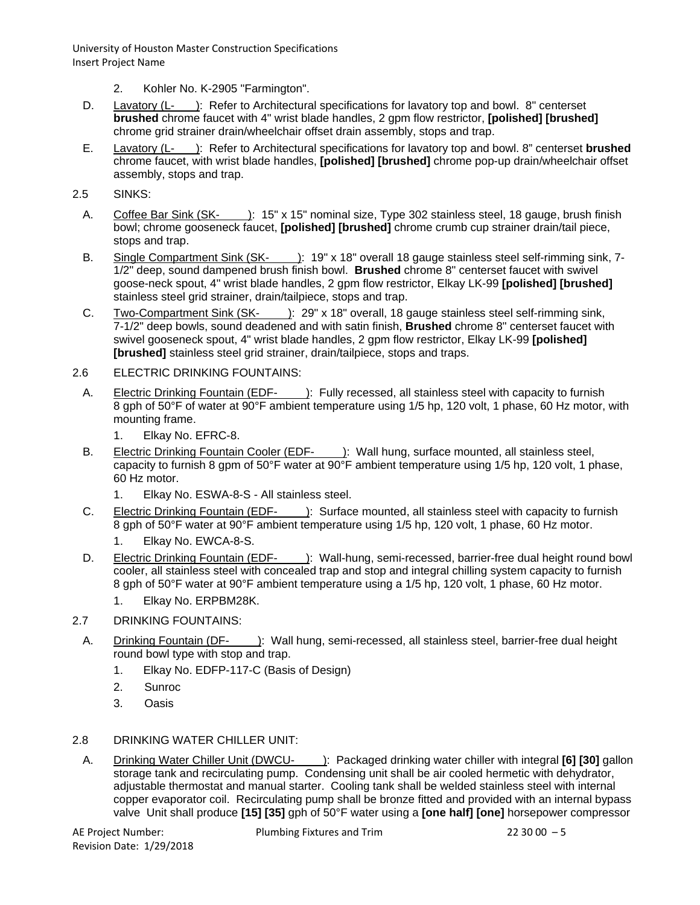- 2. Kohler No. K-2905 "Farmington".
- D. Lavatory (L- ): Refer to Architectural specifications for lavatory top and bowl. 8" centerset **brushed** chrome faucet with 4" wrist blade handles, 2 gpm flow restrictor, **[polished] [brushed]** chrome grid strainer drain/wheelchair offset drain assembly, stops and trap.
- E. Lavatory (L- ): Refer to Architectural specifications for lavatory top and bowl. 8" centerset **brushed** chrome faucet, with wrist blade handles, **[polished] [brushed]** chrome pop-up drain/wheelchair offset assembly, stops and trap.

## 2.5 SINKS:

- A. Coffee Bar Sink (SK- ): 15" x 15" nominal size, Type 302 stainless steel, 18 gauge, brush finish bowl; chrome gooseneck faucet, **[polished] [brushed]** chrome crumb cup strainer drain/tail piece, stops and trap.
- B. Single Compartment Sink (SK- ): 19" x 18" overall 18 gauge stainless steel self-rimming sink, 7-1/2" deep, sound dampened brush finish bowl. **Brushed** chrome 8" centerset faucet with swivel goose-neck spout, 4" wrist blade handles, 2 gpm flow restrictor, Elkay LK-99 **[polished] [brushed]** stainless steel grid strainer, drain/tailpiece, stops and trap.
- C. Two-Compartment Sink (SK- ): 29" x 18" overall, 18 gauge stainless steel self-rimming sink, 7-1/2" deep bowls, sound deadened and with satin finish, **Brushed** chrome 8" centerset faucet with swivel gooseneck spout, 4" wrist blade handles, 2 gpm flow restrictor, Elkay LK-99 **[polished] [brushed]** stainless steel grid strainer, drain/tailpiece, stops and traps.
- 2.6 ELECTRIC DRINKING FOUNTAINS:
- A. Electric Drinking Fountain (EDF- ): Fully recessed, all stainless steel with capacity to furnish 8 gph of 50°F of water at 90°F ambient temperature using 1/5 hp, 120 volt, 1 phase, 60 Hz motor, with mounting frame.
	- 1. Elkay No. EFRC-8.
- B. Electric Drinking Fountain Cooler (EDF- ): Wall hung, surface mounted, all stainless steel, capacity to furnish 8 gpm of 50°F water at 90°F ambient temperature using 1/5 hp, 120 volt, 1 phase, 60 Hz motor.
	- 1. Elkay No. ESWA-8-S All stainless steel.
- C. Electric Drinking Fountain (EDF- ): Surface mounted, all stainless steel with capacity to furnish 8 gph of 50°F water at 90°F ambient temperature using 1/5 hp, 120 volt, 1 phase, 60 Hz motor.
	- 1. Elkay No. EWCA-8-S.
- D. Electric Drinking Fountain (EDF- ): Wall-hung, semi-recessed, barrier-free dual height round bowl cooler, all stainless steel with concealed trap and stop and integral chilling system capacity to furnish 8 gph of 50°F water at 90°F ambient temperature using a 1/5 hp, 120 volt, 1 phase, 60 Hz motor.
	- 1. Elkay No. ERPBM28K.
- 2.7 DRINKING FOUNTAINS:
	- A. Drinking Fountain (DF- ): Wall hung, semi-recessed, all stainless steel, barrier-free dual height round bowl type with stop and trap.
		- 1. Elkay No. EDFP-117-C (Basis of Design)
		- 2. Sunroc
		- 3. Oasis

### 2.8 DRINKING WATER CHILLER UNIT:

A. Drinking Water Chiller Unit (DWCU- ): Packaged drinking water chiller with integral **[6] [30]** gallon storage tank and recirculating pump. Condensing unit shall be air cooled hermetic with dehydrator, adjustable thermostat and manual starter. Cooling tank shall be welded stainless steel with internal copper evaporator coil. Recirculating pump shall be bronze fitted and provided with an internal bypass valve Unit shall produce **[15] [35]** gph of 50°F water using a **[one half] [one]** horsepower compressor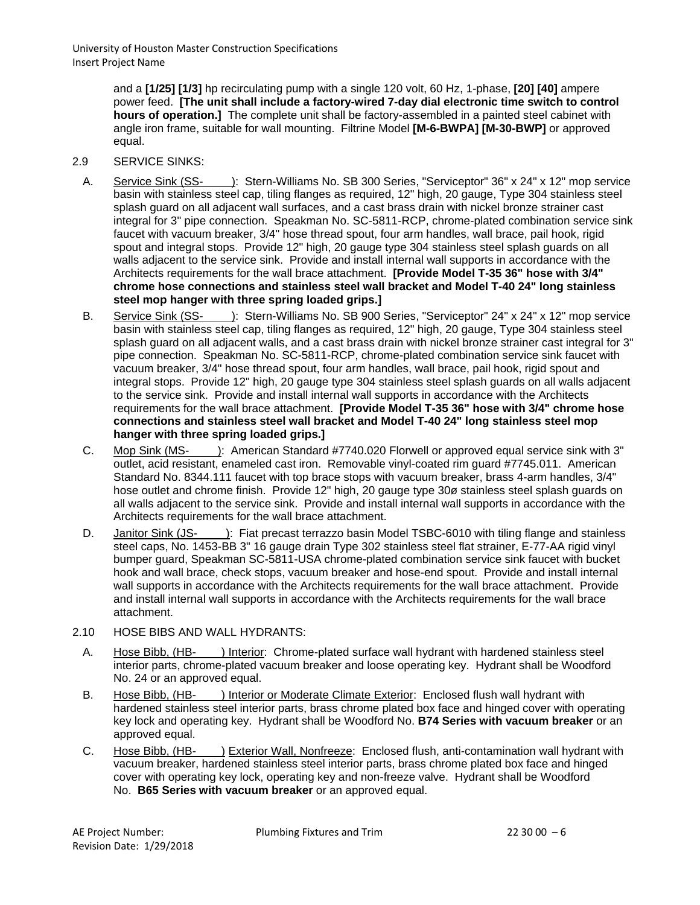> and a **[1/25] [1/3]** hp recirculating pump with a single 120 volt, 60 Hz, 1-phase, **[20] [40]** ampere power feed. **[The unit shall include a factory-wired 7-day dial electronic time switch to control hours of operation.]** The complete unit shall be factory-assembled in a painted steel cabinet with angle iron frame, suitable for wall mounting. Filtrine Model **[M-6-BWPA] [M-30-BWP]** or approved equal.

- 2.9 SERVICE SINKS:
- A. Service Sink (SS- ): Stern-Williams No. SB 300 Series, "Serviceptor" 36" x 24" x 12" mop service basin with stainless steel cap, tiling flanges as required, 12" high, 20 gauge, Type 304 stainless steel splash guard on all adjacent wall surfaces, and a cast brass drain with nickel bronze strainer cast integral for 3" pipe connection. Speakman No. SC-5811-RCP, chrome-plated combination service sink faucet with vacuum breaker, 3/4" hose thread spout, four arm handles, wall brace, pail hook, rigid spout and integral stops. Provide 12" high, 20 gauge type 304 stainless steel splash guards on all walls adiacent to the service sink. Provide and install internal wall supports in accordance with the Architects requirements for the wall brace attachment. **[Provide Model T-35 36" hose with 3/4" chrome hose connections and stainless steel wall bracket and Model T-40 24" long stainless steel mop hanger with three spring loaded grips.]**
- B. Service Sink (SS- ): Stern-Williams No. SB 900 Series, "Serviceptor" 24" x 24" x 12" mop service basin with stainless steel cap, tiling flanges as required, 12" high, 20 gauge, Type 304 stainless steel splash guard on all adjacent walls, and a cast brass drain with nickel bronze strainer cast integral for 3" pipe connection. Speakman No. SC-5811-RCP, chrome-plated combination service sink faucet with vacuum breaker, 3/4" hose thread spout, four arm handles, wall brace, pail hook, rigid spout and integral stops. Provide 12" high, 20 gauge type 304 stainless steel splash guards on all walls adjacent to the service sink. Provide and install internal wall supports in accordance with the Architects requirements for the wall brace attachment. **[Provide Model T-35 36" hose with 3/4" chrome hose connections and stainless steel wall bracket and Model T-40 24" long stainless steel mop hanger with three spring loaded grips.]**
- C. Mop Sink (MS- ): American Standard #7740.020 Florwell or approved equal service sink with 3" outlet, acid resistant, enameled cast iron. Removable vinyl-coated rim guard #7745.011. American Standard No. 8344.111 faucet with top brace stops with vacuum breaker, brass 4-arm handles, 3/4" hose outlet and chrome finish. Provide 12" high, 20 gauge type 30ø stainless steel splash guards on all walls adjacent to the service sink. Provide and install internal wall supports in accordance with the Architects requirements for the wall brace attachment.
- D. Janitor Sink (JS- ): Fiat precast terrazzo basin Model TSBC-6010 with tiling flange and stainless steel caps, No. 1453-BB 3" 16 gauge drain Type 302 stainless steel flat strainer, E-77-AA rigid vinyl bumper guard, Speakman SC-5811-USA chrome-plated combination service sink faucet with bucket hook and wall brace, check stops, vacuum breaker and hose-end spout. Provide and install internal wall supports in accordance with the Architects requirements for the wall brace attachment. Provide and install internal wall supports in accordance with the Architects requirements for the wall brace attachment.
- 2.10 HOSE BIBS AND WALL HYDRANTS:
	- A. Hose Bibb, (HB- ) Interior: Chrome-plated surface wall hydrant with hardened stainless steel interior parts, chrome-plated vacuum breaker and loose operating key. Hydrant shall be Woodford No. 24 or an approved equal.
	- B. Hose Bibb, (HB- ) Interior or Moderate Climate Exterior: Enclosed flush wall hydrant with hardened stainless steel interior parts, brass chrome plated box face and hinged cover with operating key lock and operating key. Hydrant shall be Woodford No. **B74 Series with vacuum breaker** or an approved equal.
	- C. Hose Bibb, (HB- ) Exterior Wall, Nonfreeze: Enclosed flush, anti-contamination wall hydrant with vacuum breaker, hardened stainless steel interior parts, brass chrome plated box face and hinged cover with operating key lock, operating key and non-freeze valve. Hydrant shall be Woodford No. **B65 Series with vacuum breaker** or an approved equal.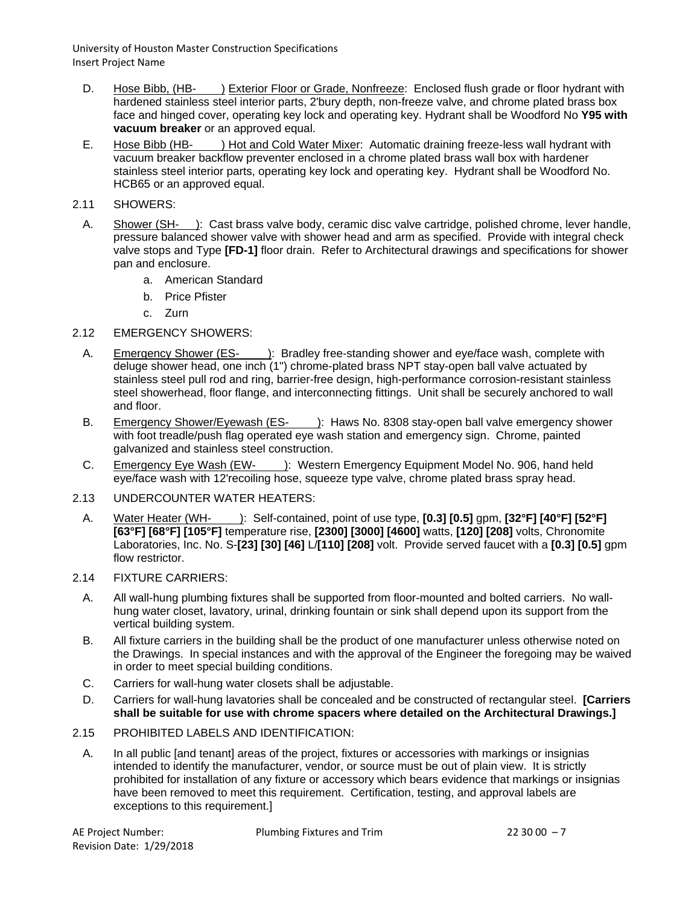- D. Hose Bibb, (HB- ) Exterior Floor or Grade, Nonfreeze: Enclosed flush grade or floor hydrant with hardened stainless steel interior parts, 2'bury depth, non-freeze valve, and chrome plated brass box face and hinged cover, operating key lock and operating key. Hydrant shall be Woodford No **Y95 with vacuum breaker** or an approved equal.
- E. Hose Bibb (HB- ) Hot and Cold Water Mixer: Automatic draining freeze-less wall hydrant with vacuum breaker backflow preventer enclosed in a chrome plated brass wall box with hardener stainless steel interior parts, operating key lock and operating key. Hydrant shall be Woodford No. HCB65 or an approved equal.
- 2.11 SHOWERS:
- A. Shower (SH- ): Cast brass valve body, ceramic disc valve cartridge, polished chrome, lever handle, pressure balanced shower valve with shower head and arm as specified. Provide with integral check valve stops and Type **[FD-1]** floor drain. Refer to Architectural drawings and specifications for shower pan and enclosure.
	- a. American Standard
	- b. Price Pfister
	- c. Zurn
- 2.12 EMERGENCY SHOWERS:
	- A. Emergency Shower (ES- ): Bradley free-standing shower and eye/face wash, complete with deluge shower head, one inch (1") chrome-plated brass NPT stay-open ball valve actuated by stainless steel pull rod and ring, barrier-free design, high-performance corrosion-resistant stainless steel showerhead, floor flange, and interconnecting fittings. Unit shall be securely anchored to wall and floor.
	- B. Emergency Shower/Eyewash (ES- ): Haws No. 8308 stay-open ball valve emergency shower with foot treadle/push flag operated eye wash station and emergency sign. Chrome, painted galvanized and stainless steel construction.
	- C. Emergency Eye Wash (EW- ): Western Emergency Equipment Model No. 906, hand held eye/face wash with 12'recoiling hose, squeeze type valve, chrome plated brass spray head.
- 2.13 UNDERCOUNTER WATER HEATERS:
- A. Water Heater (WH- ): Self-contained, point of use type, **[0.3] [0.5]** gpm, **[32°F] [40°F] [52°F] [63°F] [68°F] [105°F]** temperature rise, **[2300] [3000] [4600]** watts, **[120] [208]** volts, Chronomite Laboratories, Inc. No. S-**[23] [30] [46]** L/**[110] [208]** volt. Provide served faucet with a **[0.3] [0.5]** gpm flow restrictor.
- 2.14 FIXTURE CARRIERS:
	- A. All wall-hung plumbing fixtures shall be supported from floor-mounted and bolted carriers. No wallhung water closet, lavatory, urinal, drinking fountain or sink shall depend upon its support from the vertical building system.
	- B. All fixture carriers in the building shall be the product of one manufacturer unless otherwise noted on the Drawings. In special instances and with the approval of the Engineer the foregoing may be waived in order to meet special building conditions.
	- C. Carriers for wall-hung water closets shall be adjustable.
	- D. Carriers for wall-hung lavatories shall be concealed and be constructed of rectangular steel. **[Carriers shall be suitable for use with chrome spacers where detailed on the Architectural Drawings.]**
- 2.15 PROHIBITED LABELS AND IDENTIFICATION:
- A. In all public [and tenant] areas of the project, fixtures or accessories with markings or insignias intended to identify the manufacturer, vendor, or source must be out of plain view. It is strictly prohibited for installation of any fixture or accessory which bears evidence that markings or insignias have been removed to meet this requirement. Certification, testing, and approval labels are exceptions to this requirement.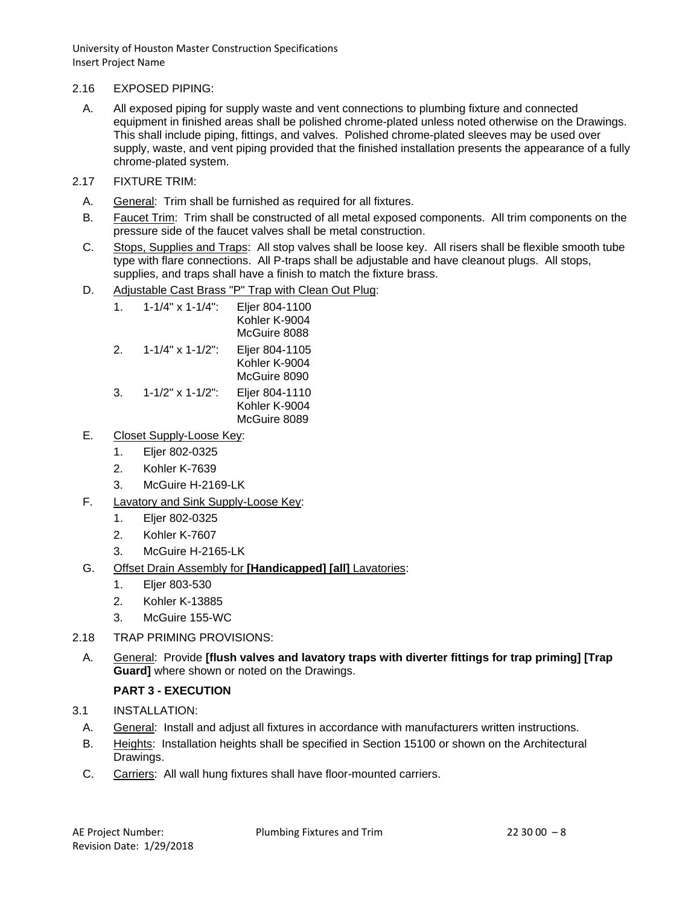## 2.16 EXPOSED PIPING:

- A. All exposed piping for supply waste and vent connections to plumbing fixture and connected equipment in finished areas shall be polished chrome-plated unless noted otherwise on the Drawings. This shall include piping, fittings, and valves. Polished chrome-plated sleeves may be used over supply, waste, and vent piping provided that the finished installation presents the appearance of a fully chrome-plated system.
- 2.17 FIXTURE TRIM:
	- A. General: Trim shall be furnished as required for all fixtures.
	- B. Faucet Trim: Trim shall be constructed of all metal exposed components. All trim components on the pressure side of the faucet valves shall be metal construction.
	- C. Stops, Supplies and Traps: All stop valves shall be loose key. All risers shall be flexible smooth tube type with flare connections. All P-traps shall be adjustable and have cleanout plugs. All stops, supplies, and traps shall have a finish to match the fixture brass.
	- D. Adjustable Cast Brass "P" Trap with Clean Out Plug:

| 1. | $1 - 1/4$ " x $1 - 1/4$ ":   | Eljer 804-1100<br>Kohler K-9004<br>McGuire 8088 |
|----|------------------------------|-------------------------------------------------|
| 2. | $1 - 1/4$ " x $1 - 1/2$ ":   | Eljer 804-1105<br>Kohler K-9004<br>McGuire 8090 |
| 3. | $1 - 1/2" \times 1 - 1/2"$ : | Eljer 804-1110<br>Kohler K-9004<br>McGuire 8089 |

# E. Closet Supply-Loose Key:

- 1. Eljer 802-0325
- 2. Kohler K-7639
- 3. McGuire H-2169-LK
- F. Lavatory and Sink Supply-Loose Key:
	- 1. Eljer 802-0325
	- 2. Kohler K-7607
	- 3. McGuire H-2165-LK
- G. Offset Drain Assembly for **[Handicapped] [all]** Lavatories:
	- 1. Eljer 803-530
	- 2. Kohler K-13885
	- 3. McGuire 155-WC
- 2.18 TRAP PRIMING PROVISIONS:
- A. General: Provide **[flush valves and lavatory traps with diverter fittings for trap priming] [Trap Guard]** where shown or noted on the Drawings.

# **PART 3 - EXECUTION**

- 3.1 INSTALLATION:
- A. General: Install and adjust all fixtures in accordance with manufacturers written instructions.
- B. Heights: Installation heights shall be specified in Section 15100 or shown on the Architectural Drawings.
- C. Carriers: All wall hung fixtures shall have floor-mounted carriers.